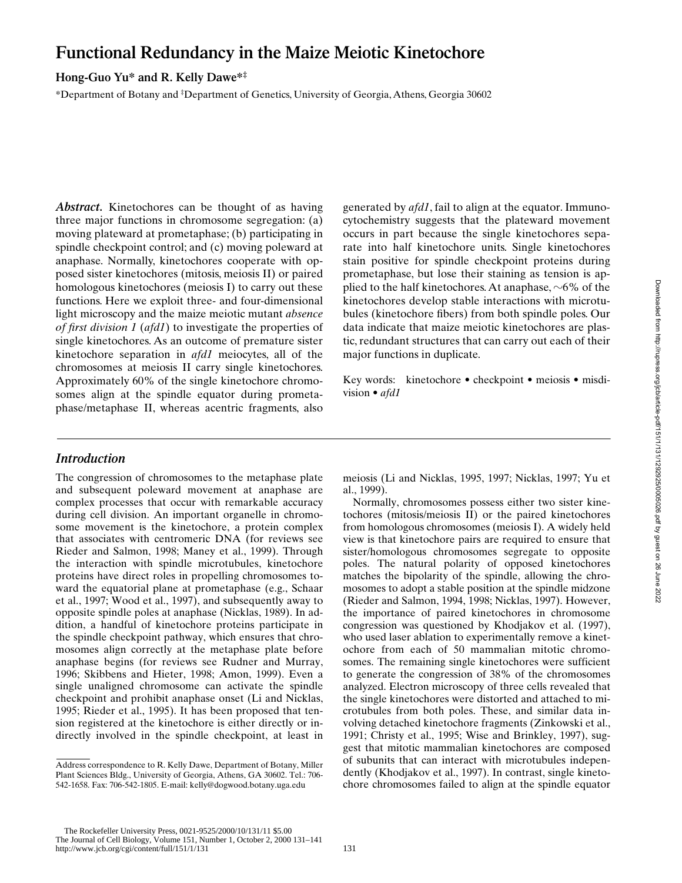# **Functional Redundancy in the Maize Meiotic Kinetochore**

## **Hong-Guo Yu\* and R. Kelly Dawe\*‡**

\*Department of Botany and ‡ Department of Genetics, University of Georgia, Athens, Georgia 30602

*Abstract.* Kinetochores can be thought of as having three major functions in chromosome segregation: (a) moving plateward at prometaphase; (b) participating in spindle checkpoint control; and (c) moving poleward at anaphase. Normally, kinetochores cooperate with opposed sister kinetochores (mitosis, meiosis II) or paired homologous kinetochores (meiosis I) to carry out these functions. Here we exploit three- and four-dimensional light microscopy and the maize meiotic mutant *absence of first division 1* (*afd1*) to investigate the properties of single kinetochores. As an outcome of premature sister kinetochore separation in *afd1* meiocytes, all of the chromosomes at meiosis II carry single kinetochores. Approximately 60% of the single kinetochore chromosomes align at the spindle equator during prometaphase/metaphase II, whereas acentric fragments, also generated by *afd1*, fail to align at the equator. Immunocytochemistry suggests that the plateward movement occurs in part because the single kinetochores separate into half kinetochore units. Single kinetochores stain positive for spindle checkpoint proteins during prometaphase, but lose their staining as tension is applied to the half kinetochores. At anaphase,  $\sim 6\%$  of the kinetochores develop stable interactions with microtubules (kinetochore fibers) from both spindle poles. Our data indicate that maize meiotic kinetochores are plastic, redundant structures that can carry out each of their major functions in duplicate.

Key words: kinetochore • checkpoint • meiosis • misdivision • *afd1*

# *Introduction*

The congression of chromosomes to the metaphase plate and subsequent poleward movement at anaphase are complex processes that occur with remarkable accuracy during cell division. An important organelle in chromosome movement is the kinetochore, a protein complex that associates with centromeric DNA (for reviews see Rieder and Salmon, 1998; Maney et al., 1999). Through the interaction with spindle microtubules, kinetochore proteins have direct roles in propelling chromosomes toward the equatorial plane at prometaphase (e.g., Schaar et al., 1997; Wood et al., 1997), and subsequently away to opposite spindle poles at anaphase (Nicklas, 1989). In addition, a handful of kinetochore proteins participate in the spindle checkpoint pathway, which ensures that chromosomes align correctly at the metaphase plate before anaphase begins (for reviews see Rudner and Murray, 1996; Skibbens and Hieter, 1998; Amon, 1999). Even a single unaligned chromosome can activate the spindle checkpoint and prohibit anaphase onset (Li and Nicklas, 1995; Rieder et al., 1995). It has been proposed that tension registered at the kinetochore is either directly or indirectly involved in the spindle checkpoint, at least in meiosis (Li and Nicklas, 1995, 1997; Nicklas, 1997; Yu et al., 1999).

Normally, chromosomes possess either two sister kinetochores (mitosis/meiosis II) or the paired kinetochores from homologous chromosomes (meiosis I). A widely held view is that kinetochore pairs are required to ensure that sister/homologous chromosomes segregate to opposite poles. The natural polarity of opposed kinetochores matches the bipolarity of the spindle, allowing the chromosomes to adopt a stable position at the spindle midzone (Rieder and Salmon, 1994, 1998; Nicklas, 1997). However, the importance of paired kinetochores in chromosome congression was questioned by Khodjakov et al. (1997), who used laser ablation to experimentally remove a kinetochore from each of 50 mammalian mitotic chromosomes. The remaining single kinetochores were sufficient to generate the congression of 38% of the chromosomes analyzed. Electron microscopy of three cells revealed that the single kinetochores were distorted and attached to microtubules from both poles. These, and similar data involving detached kinetochore fragments (Zinkowski et al., 1991; Christy et al., 1995; Wise and Brinkley, 1997), suggest that mitotic mammalian kinetochores are composed of subunits that can interact with microtubules independently (Khodjakov et al., 1997). In contrast, single kinetochore chromosomes failed to align at the spindle equator

 The Rockefeller University Press, 0021-9525/2000/10/131/11 \$5.00 The Journal of Cell Biology, Volume 151, Number 1, October 2, 2000 131–141 http://www.jcb.org/cgi/content/full/151/1/131 131

Address correspondence to R. Kelly Dawe, Department of Botany, Miller Plant Sciences Bldg., University of Georgia, Athens, GA 30602. Tel.: 706- 542-1658. Fax: 706-542-1805. E-mail: kelly@dogwood.botany.uga.edu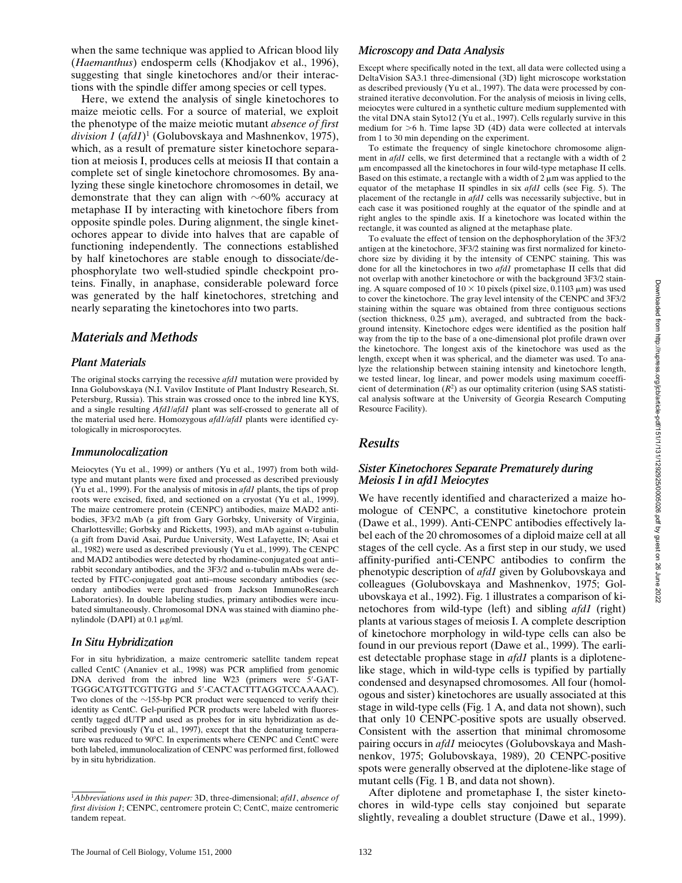when the same technique was applied to African blood lily (*Haemanthus*) endosperm cells (Khodjakov et al., 1996), suggesting that single kinetochores and/or their interactions with the spindle differ among species or cell types.

Here, we extend the analysis of single kinetochores to maize meiotic cells. For a source of material, we exploit the phenotype of the maize meiotic mutant *absence of first division 1* (*afd1*)1 (Golubovskaya and Mashnenkov, 1975), which, as a result of premature sister kinetochore separation at meiosis I, produces cells at meiosis II that contain a complete set of single kinetochore chromosomes. By analyzing these single kinetochore chromosomes in detail, we demonstrate that they can align with  $\sim 60\%$  accuracy at metaphase II by interacting with kinetochore fibers from opposite spindle poles. During alignment, the single kinetochores appear to divide into halves that are capable of functioning independently. The connections established by half kinetochores are stable enough to dissociate/dephosphorylate two well-studied spindle checkpoint proteins. Finally, in anaphase, considerable poleward force was generated by the half kinetochores, stretching and nearly separating the kinetochores into two parts.

## *Materials and Methods*

#### *Plant Materials*

The original stocks carrying the recessive *afd1* mutation were provided by Inna Golubovskaya (N.I. Vavilov Institute of Plant Industry Research, St. Petersburg, Russia). This strain was crossed once to the inbred line KYS, and a single resulting *Afd1*/*afd1* plant was self-crossed to generate all of the material used here. Homozygous *afd1/afd1* plants were identified cytologically in microsporocytes.

#### *Immunolocalization*

Meiocytes (Yu et al., 1999) or anthers (Yu et al., 1997) from both wildtype and mutant plants were fixed and processed as described previously (Yu et al., 1999). For the analysis of mitosis in *afd1* plants, the tips of prop roots were excised, fixed, and sectioned on a cryostat (Yu et al., 1999). The maize centromere protein (CENPC) antibodies, maize MAD2 antibodies, 3F3/2 mAb (a gift from Gary Gorbsky, University of Virginia, Charlottesville; Gorbsky and Ricketts, 1993), and mAb against  $\alpha$ -tubulin (a gift from David Asai, Purdue University, West Lafayette, IN; Asai et al., 1982) were used as described previously (Yu et al., 1999). The CENPC and MAD2 antibodies were detected by rhodamine-conjugated goat anti– rabbit secondary antibodies, and the  $3F3/2$  and  $\alpha$ -tubulin mAbs were detected by FITC-conjugated goat anti–mouse secondary antibodies (secondary antibodies were purchased from Jackson ImmunoResearch Laboratories). In double labeling studies, primary antibodies were incubated simultaneously. Chromosomal DNA was stained with diamino phenylindole (DAPI) at 0.1  $\mu$ g/ml.

#### *In Situ Hybridization*

For in situ hybridization, a maize centromeric satellite tandem repeat called CentC (Ananiev et al., 1998) was PCR amplified from genomic DNA derived from the inbred line W23 (primers were 5'-GAT-TGGGCATGTTCGTTGTG and 5'-CACTACTTTAGGTCCAAAAC). Two clones of the  $\sim$ 155-bp PCR product were sequenced to verify their identity as CentC. Gel-purified PCR products were labeled with fluorescently tagged dUTP and used as probes for in situ hybridization as described previously (Yu et al., 1997), except that the denaturing temperature was reduced to 90°C. In experiments where CENPC and CentC were both labeled, immunolocalization of CENPC was performed first, followed by in situ hybridization.

#### *Microscopy and Data Analysis*

Except where specifically noted in the text, all data were collected using a DeltaVision SA3.1 three-dimensional (3D) light microscope workstation as described previously (Yu et al., 1997). The data were processed by constrained iterative deconvolution. For the analysis of meiosis in living cells, meiocytes were cultured in a synthetic culture medium supplemented with the vital DNA stain Syto12 (Yu et al., 1997). Cells regularly survive in this medium for  $>6$  h. Time lapse 3D (4D) data were collected at intervals from 1 to 30 min depending on the experiment.

To estimate the frequency of single kinetochore chromosome alignment in *afd1* cells, we first determined that a rectangle with a width of 2  $\mu$ m encompassed all the kinetochores in four wild-type metaphase II cells. Based on this estimate, a rectangle with a width of  $2 \mu m$  was applied to the equator of the metaphase II spindles in six *afd1* cells (see Fig. 5). The placement of the rectangle in *afd1* cells was necessarily subjective, but in each case it was positioned roughly at the equator of the spindle and at right angles to the spindle axis. If a kinetochore was located within the rectangle, it was counted as aligned at the metaphase plate.

To evaluate the effect of tension on the dephosphorylation of the 3F3/2 antigen at the kinetochore, 3F3/2 staining was first normalized for kinetochore size by dividing it by the intensity of CENPC staining. This was done for all the kinetochores in two *afd1* prometaphase II cells that did not overlap with another kinetochore or with the background 3F3/2 staining. A square composed of  $10 \times 10$  pixels (pixel size, 0.1103  $\mu$ m) was used to cover the kinetochore. The gray level intensity of the CENPC and 3F3/2 staining within the square was obtained from three contiguous sections (section thickness,  $0.25 \mu m$ ), averaged, and subtracted from the background intensity. Kinetochore edges were identified as the position half way from the tip to the base of a one-dimensional plot profile drawn over the kinetochore. The longest axis of the kinetochore was used as the length, except when it was spherical, and the diameter was used. To analyze the relationship between staining intensity and kinetochore length, we tested linear, log linear, and power models using maximum coeefficient of determination  $(R^2)$  as our optimality criterion (using SAS statistical analysis software at the University of Georgia Research Computing Resource Facility).

### *Results*

#### *Sister Kinetochores Separate Prematurely during Meiosis I in afd1 Meiocytes*

We have recently identified and characterized a maize homologue of CENPC, a constitutive kinetochore protein (Dawe et al., 1999). Anti-CENPC antibodies effectively label each of the 20 chromosomes of a diploid maize cell at all stages of the cell cycle. As a first step in our study, we used affinity-purified anti-CENPC antibodies to confirm the phenotypic description of *afd1* given by Golubovskaya and colleagues (Golubovskaya and Mashnenkov, 1975; Golubovskaya et al., 1992). Fig. 1 illustrates a comparison of kinetochores from wild-type (left) and sibling *afd1* (right) plants at various stages of meiosis I. A complete description of kinetochore morphology in wild-type cells can also be found in our previous report (Dawe et al., 1999). The earliest detectable prophase stage in *afd1* plants is a diplotenelike stage, which in wild-type cells is typified by partially condensed and desynapsed chromosomes. All four (homologous and sister) kinetochores are usually associated at this stage in wild-type cells (Fig. 1 A, and data not shown), such that only 10 CENPC-positive spots are usually observed. Consistent with the assertion that minimal chromosome pairing occurs in *afd1* meiocytes (Golubovskaya and Mashnenkov, 1975; Golubovskaya, 1989), 20 CENPC-positive spots were generally observed at the diplotene-like stage of mutant cells (Fig. 1 B, and data not shown).

After diplotene and prometaphase I, the sister kinetochores in wild-type cells stay conjoined but separate slightly, revealing a doublet structure (Dawe et al., 1999).

<sup>1</sup> *Abbreviations used in this paper:* 3D, three-dimensional; *afd1*, *absence of first division 1*; CENPC, centromere protein C; CentC, maize centromeric tandem repeat.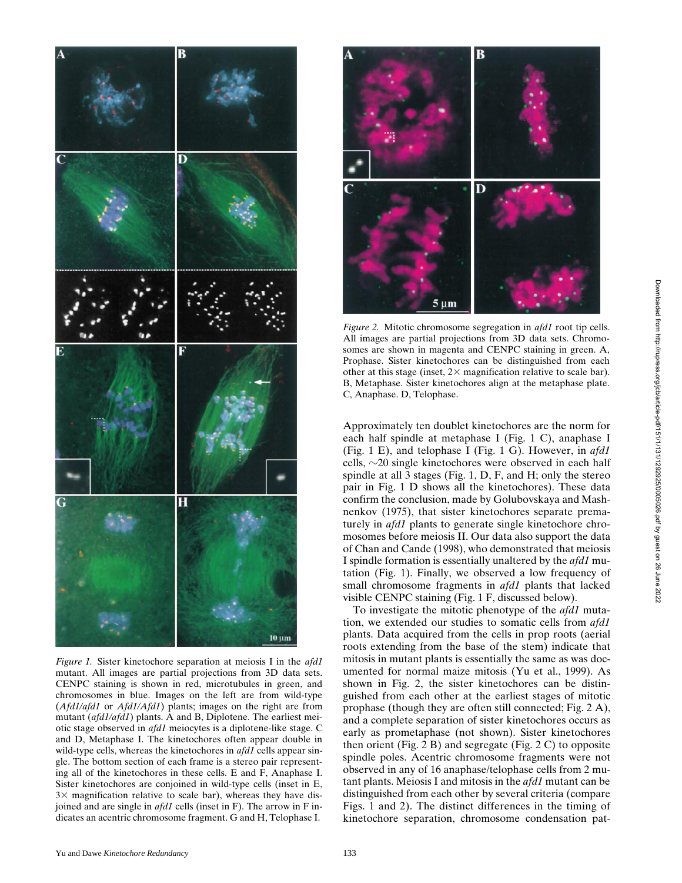

*Figure 1.* Sister kinetochore separation at meiosis I in the *afd1* mutant. All images are partial projections from 3D data sets. CENPC staining is shown in red, microtubules in green, and chromosomes in blue. Images on the left are from wild-type (*Afd1/afd1* or *Afd1/Afd1*) plants; images on the right are from mutant (*afd1/afd1*) plants. A and B, Diplotene. The earliest meiotic stage observed in *afd1* meiocytes is a diplotene-like stage. C and D, Metaphase I. The kinetochores often appear double in wild-type cells, whereas the kinetochores in *afd1* cells appear single. The bottom section of each frame is a stereo pair representing all of the kinetochores in these cells. E and F, Anaphase I. Sister kinetochores are conjoined in wild-type cells (inset in E,  $3\times$  magnification relative to scale bar), whereas they have disjoined and are single in *afd1* cells (inset in F). The arrow in F indicates an acentric chromosome fragment. G and H, Telophase I.



*Figure 2.* Mitotic chromosome segregation in *afd1* root tip cells. All images are partial projections from 3D data sets. Chromosomes are shown in magenta and CENPC staining in green. A, Prophase. Sister kinetochores can be distinguished from each other at this stage (inset,  $2 \times$  magnification relative to scale bar). B, Metaphase. Sister kinetochores align at the metaphase plate. C, Anaphase. D, Telophase.

Approximately ten doublet kinetochores are the norm for each half spindle at metaphase I (Fig. 1 C), anaphase I (Fig. 1 E), and telophase I (Fig. 1 G). However, in *afd1* cells,  $\sim$ 20 single kinetochores were observed in each half spindle at all 3 stages (Fig. 1, D, F, and H; only the stereo pair in Fig. 1 D shows all the kinetochores). These data confirm the conclusion, made by Golubovskaya and Mashnenkov (1975), that sister kinetochores separate prematurely in *afd1* plants to generate single kinetochore chromosomes before meiosis II. Our data also support the data of Chan and Cande (1998), who demonstrated that meiosis I spindle formation is essentially unaltered by the *afd1* mutation (Fig. 1). Finally, we observed a low frequency of small chromosome fragments in *afd1* plants that lacked visible CENPC staining (Fig. 1 F, discussed below).

To investigate the mitotic phenotype of the *afd1* mutation, we extended our studies to somatic cells from *afd1* plants. Data acquired from the cells in prop roots (aerial roots extending from the base of the stem) indicate that mitosis in mutant plants is essentially the same as was documented for normal maize mitosis (Yu et al., 1999). As shown in Fig. 2, the sister kinetochores can be distinguished from each other at the earliest stages of mitotic prophase (though they are often still connected; Fig. 2 A), and a complete separation of sister kinetochores occurs as early as prometaphase (not shown). Sister kinetochores then orient (Fig. 2 B) and segregate (Fig. 2 C) to opposite spindle poles. Acentric chromosome fragments were not observed in any of 16 anaphase/telophase cells from 2 mutant plants. Meiosis I and mitosis in the *afd1* mutant can be distinguished from each other by several criteria (compare Figs. 1 and 2). The distinct differences in the timing of kinetochore separation, chromosome condensation pat-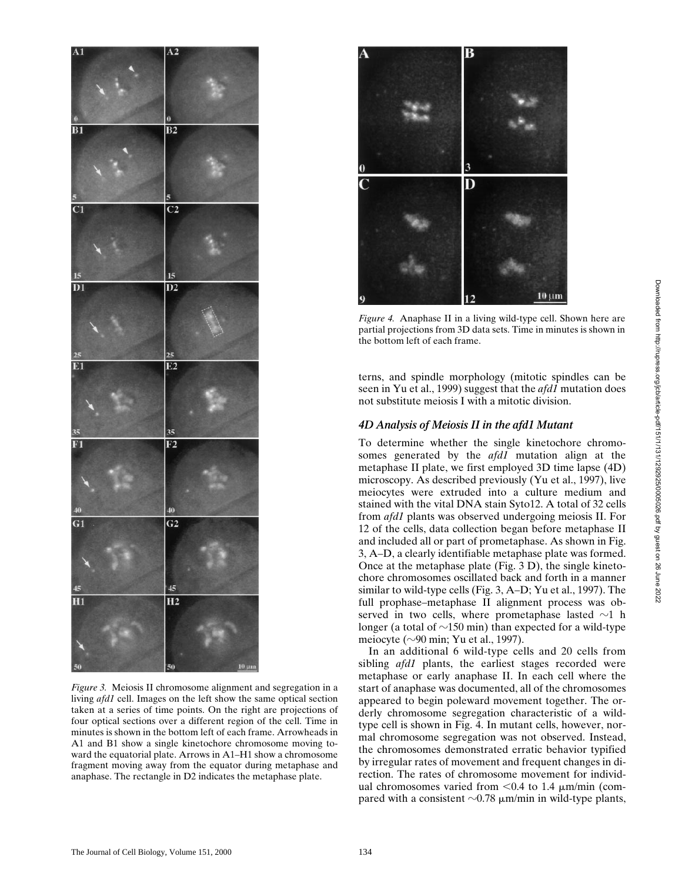

*Figure 3.* Meiosis II chromosome alignment and segregation in a living *afd1* cell. Images on the left show the same optical section taken at a series of time points. On the right are projections of four optical sections over a different region of the cell. Time in minutes is shown in the bottom left of each frame. Arrowheads in A1 and B1 show a single kinetochore chromosome moving toward the equatorial plate. Arrows in A1–H1 show a chromosome fragment moving away from the equator during metaphase and anaphase. The rectangle in D2 indicates the metaphase plate.



*Figure 4.* Anaphase II in a living wild-type cell. Shown here are partial projections from 3D data sets. Time in minutes is shown in the bottom left of each frame.

terns, and spindle morphology (mitotic spindles can be seen in Yu et al., 1999) suggest that the *afd1* mutation does not substitute meiosis I with a mitotic division.

#### *4D Analysis of Meiosis II in the afd1 Mutant*

To determine whether the single kinetochore chromosomes generated by the *afd1* mutation align at the metaphase II plate, we first employed 3D time lapse (4D) microscopy. As described previously (Yu et al., 1997), live meiocytes were extruded into a culture medium and stained with the vital DNA stain Syto12. A total of 32 cells from *afd1* plants was observed undergoing meiosis II. For 12 of the cells, data collection began before metaphase II and included all or part of prometaphase. As shown in Fig. 3, A–D, a clearly identifiable metaphase plate was formed. Once at the metaphase plate (Fig. 3 D), the single kinetochore chromosomes oscillated back and forth in a manner similar to wild-type cells (Fig. 3, A–D; Yu et al., 1997). The full prophase–metaphase II alignment process was observed in two cells, where prometaphase lasted  $\sim$ 1 h longer (a total of  $\sim$ 150 min) than expected for a wild-type meiocyte ( $\sim$ 90 min; Yu et al., 1997).

In an additional 6 wild-type cells and 20 cells from sibling *afd1* plants, the earliest stages recorded were metaphase or early anaphase II. In each cell where the start of anaphase was documented, all of the chromosomes appeared to begin poleward movement together. The orderly chromosome segregation characteristic of a wildtype cell is shown in Fig. 4. In mutant cells, however, normal chromosome segregation was not observed. Instead, the chromosomes demonstrated erratic behavior typified by irregular rates of movement and frequent changes in direction. The rates of chromosome movement for individual chromosomes varied from  $< 0.4$  to 1.4  $\mu$ m/min (compared with a consistent  $\sim$ 0.78  $\mu$ m/min in wild-type plants,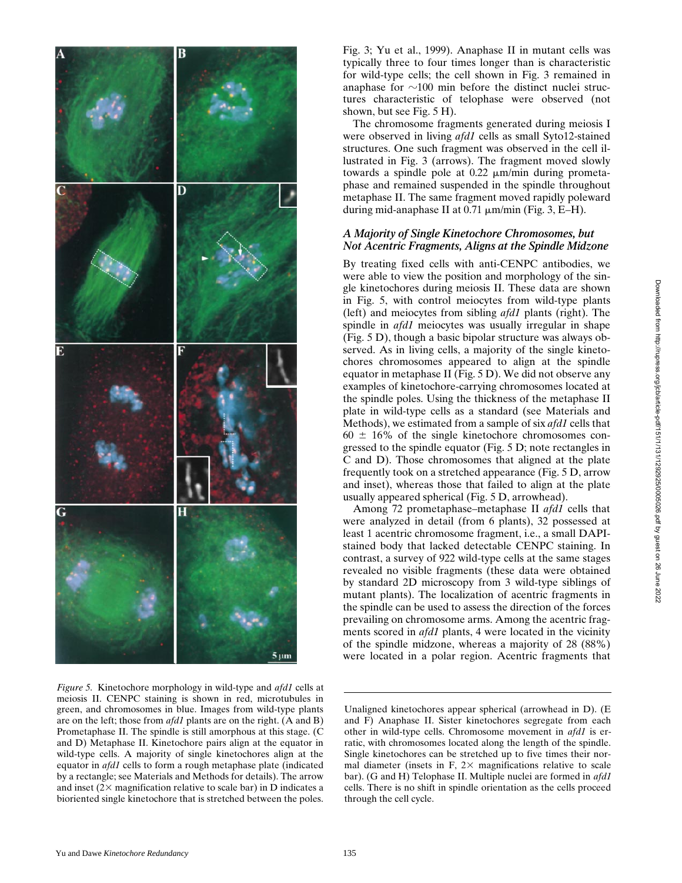

*Figure 5.* Kinetochore morphology in wild-type and *afd1* cells at meiosis II. CENPC staining is shown in red, microtubules in green, and chromosomes in blue. Images from wild-type plants are on the left; those from *afd1* plants are on the right. (A and B) Prometaphase II. The spindle is still amorphous at this stage. (C and D) Metaphase II. Kinetochore pairs align at the equator in wild-type cells. A majority of single kinetochores align at the equator in *afd1* cells to form a rough metaphase plate (indicated by a rectangle; see Materials and Methods for details). The arrow and inset  $(2 \times$  magnification relative to scale bar) in D indicates a bioriented single kinetochore that is stretched between the poles.

Fig. 3; Yu et al., 1999). Anaphase II in mutant cells was typically three to four times longer than is characteristic for wild-type cells; the cell shown in Fig. 3 remained in anaphase for  $\sim$ 100 min before the distinct nuclei structures characteristic of telophase were observed (not shown, but see Fig. 5 H).

The chromosome fragments generated during meiosis I were observed in living *afd1* cells as small Syto12-stained structures. One such fragment was observed in the cell illustrated in Fig. 3 (arrows). The fragment moved slowly towards a spindle pole at  $0.22 \mu m/min$  during prometaphase and remained suspended in the spindle throughout metaphase II. The same fragment moved rapidly poleward during mid-anaphase II at  $0.71 \mu m/min$  (Fig. 3, E-H).

### *A Majority of Single Kinetochore Chromosomes, but Not Acentric Fragments, Aligns at the Spindle Midzone*

By treating fixed cells with anti-CENPC antibodies, we were able to view the position and morphology of the single kinetochores during meiosis II. These data are shown in Fig. 5, with control meiocytes from wild-type plants (left) and meiocytes from sibling *afd1* plants (right). The spindle in *afd1* meiocytes was usually irregular in shape (Fig. 5 D), though a basic bipolar structure was always observed. As in living cells, a majority of the single kinetochores chromosomes appeared to align at the spindle equator in metaphase II (Fig. 5 D). We did not observe any examples of kinetochore-carrying chromosomes located at the spindle poles. Using the thickness of the metaphase II plate in wild-type cells as a standard (see Materials and Methods), we estimated from a sample of six *afd1* cells that  $60 \pm 16\%$  of the single kinetochore chromosomes congressed to the spindle equator (Fig. 5 D; note rectangles in C and D). Those chromosomes that aligned at the plate frequently took on a stretched appearance (Fig. 5 D, arrow and inset), whereas those that failed to align at the plate usually appeared spherical (Fig. 5 D, arrowhead).

Among 72 prometaphase–metaphase II *afd1* cells that were analyzed in detail (from 6 plants), 32 possessed at least 1 acentric chromosome fragment, i.e., a small DAPIstained body that lacked detectable CENPC staining. In contrast, a survey of 922 wild-type cells at the same stages revealed no visible fragments (these data were obtained by standard 2D microscopy from 3 wild-type siblings of mutant plants). The localization of acentric fragments in the spindle can be used to assess the direction of the forces prevailing on chromosome arms. Among the acentric fragments scored in *afd1* plants, 4 were located in the vicinity of the spindle midzone, whereas a majority of 28 (88%) were located in a polar region. Acentric fragments that

Unaligned kinetochores appear spherical (arrowhead in D). (E and F) Anaphase II. Sister kinetochores segregate from each other in wild-type cells. Chromosome movement in *afd1* is erratic, with chromosomes located along the length of the spindle. Single kinetochores can be stretched up to five times their normal diameter (insets in F,  $2 \times$  magnifications relative to scale bar). (G and H) Telophase II. Multiple nuclei are formed in *afd1* cells. There is no shift in spindle orientation as the cells proceed through the cell cycle.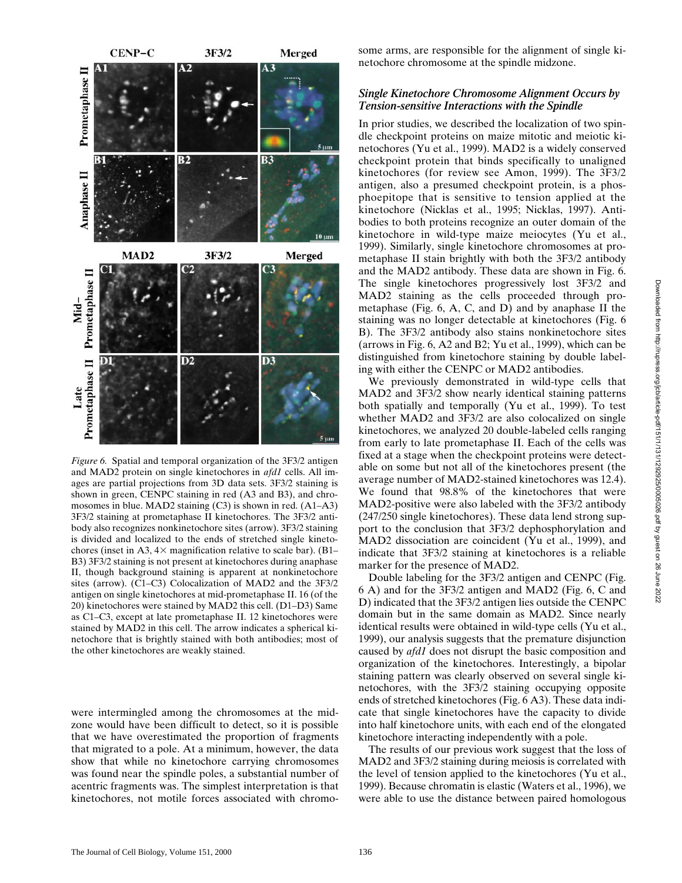

*Figure 6.* Spatial and temporal organization of the 3F3/2 antigen and MAD2 protein on single kinetochores in *afd1* cells. All images are partial projections from 3D data sets. 3F3/2 staining is shown in green, CENPC staining in red (A3 and B3), and chromosomes in blue. MAD2 staining (C3) is shown in red. (A1–A3) 3F3/2 staining at prometaphase II kinetochores. The 3F3/2 antibody also recognizes nonkinetochore sites (arrow). 3F3/2 staining is divided and localized to the ends of stretched single kinetochores (inset in A3,  $4\times$  magnification relative to scale bar). (B1– B3) 3F3/2 staining is not present at kinetochores during anaphase II, though background staining is apparent at nonkinetochore sites (arrow). (C1–C3) Colocalization of MAD2 and the 3F3/2 antigen on single kinetochores at mid-prometaphase II. 16 (of the 20) kinetochores were stained by MAD2 this cell. (D1–D3) Same as C1–C3, except at late prometaphase II. 12 kinetochores were stained by MAD2 in this cell. The arrow indicates a spherical kinetochore that is brightly stained with both antibodies; most of the other kinetochores are weakly stained.

were intermingled among the chromosomes at the midzone would have been difficult to detect, so it is possible that we have overestimated the proportion of fragments that migrated to a pole. At a minimum, however, the data show that while no kinetochore carrying chromosomes was found near the spindle poles, a substantial number of acentric fragments was. The simplest interpretation is that kinetochores, not motile forces associated with chromosome arms, are responsible for the alignment of single kinetochore chromosome at the spindle midzone.

#### *Single Kinetochore Chromosome Alignment Occurs by Tension-sensitive Interactions with the Spindle*

In prior studies, we described the localization of two spindle checkpoint proteins on maize mitotic and meiotic kinetochores (Yu et al., 1999). MAD2 is a widely conserved checkpoint protein that binds specifically to unaligned kinetochores (for review see Amon, 1999). The 3F3/2 antigen, also a presumed checkpoint protein, is a phosphoepitope that is sensitive to tension applied at the kinetochore (Nicklas et al., 1995; Nicklas, 1997). Antibodies to both proteins recognize an outer domain of the kinetochore in wild-type maize meiocytes (Yu et al., 1999). Similarly, single kinetochore chromosomes at prometaphase II stain brightly with both the 3F3/2 antibody and the MAD2 antibody. These data are shown in Fig. 6. The single kinetochores progressively lost 3F3/2 and MAD2 staining as the cells proceeded through prometaphase (Fig. 6, A, C, and D) and by anaphase II the staining was no longer detectable at kinetochores (Fig. 6 B). The 3F3/2 antibody also stains nonkinetochore sites (arrows in Fig. 6, A2 and B2; Yu et al., 1999), which can be distinguished from kinetochore staining by double labeling with either the CENPC or MAD2 antibodies.

We previously demonstrated in wild-type cells that MAD2 and 3F3/2 show nearly identical staining patterns both spatially and temporally (Yu et al., 1999). To test whether MAD2 and 3F3/2 are also colocalized on single kinetochores, we analyzed 20 double-labeled cells ranging from early to late prometaphase II. Each of the cells was fixed at a stage when the checkpoint proteins were detectable on some but not all of the kinetochores present (the average number of MAD2-stained kinetochores was 12.4). We found that 98.8% of the kinetochores that were MAD2-positive were also labeled with the 3F3/2 antibody (247/250 single kinetochores). These data lend strong support to the conclusion that 3F3/2 dephosphorylation and MAD2 dissociation are coincident (Yu et al., 1999), and indicate that 3F3/2 staining at kinetochores is a reliable marker for the presence of MAD2.

Double labeling for the 3F3/2 antigen and CENPC (Fig. 6 A) and for the 3F3/2 antigen and MAD2 (Fig. 6, C and D) indicated that the 3F3/2 antigen lies outside the CENPC domain but in the same domain as MAD2. Since nearly identical results were obtained in wild-type cells (Yu et al., 1999), our analysis suggests that the premature disjunction caused by *afd1* does not disrupt the basic composition and organization of the kinetochores. Interestingly, a bipolar staining pattern was clearly observed on several single kinetochores, with the 3F3/2 staining occupying opposite ends of stretched kinetochores (Fig. 6 A3). These data indicate that single kinetochores have the capacity to divide into half kinetochore units, with each end of the elongated kinetochore interacting independently with a pole.

The results of our previous work suggest that the loss of MAD2 and 3F3/2 staining during meiosis is correlated with the level of tension applied to the kinetochores (Yu et al., 1999). Because chromatin is elastic (Waters et al., 1996), we were able to use the distance between paired homologous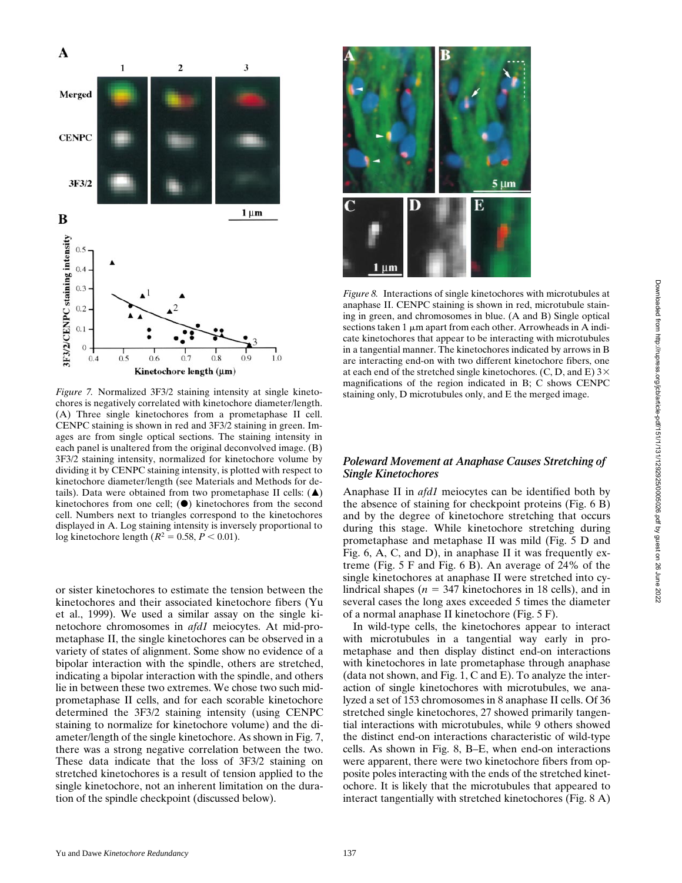

*Figure 7.* Normalized 3F3/2 staining intensity at single kinetochores is negatively correlated with kinetochore diameter/length. (A) Three single kinetochores from a prometaphase II cell. CENPC staining is shown in red and 3F3/2 staining in green. Images are from single optical sections. The staining intensity in each panel is unaltered from the original deconvolved image. (B) 3F3/2 staining intensity, normalized for kinetochore volume by dividing it by CENPC staining intensity, is plotted with respect to kinetochore diameter/length (see Materials and Methods for details). Data were obtained from two prometaphase II cells:  $(\triangle)$ kinetochores from one cell;  $(\bullet)$  kinetochores from the second cell. Numbers next to triangles correspond to the kinetochores displayed in A. Log staining intensity is inversely proportional to log kinetochore length ( $R^2 = 0.58, P < 0.01$ ).

or sister kinetochores to estimate the tension between the kinetochores and their associated kinetochore fibers (Yu et al., 1999). We used a similar assay on the single kinetochore chromosomes in *afd1* meiocytes. At mid-prometaphase II, the single kinetochores can be observed in a variety of states of alignment. Some show no evidence of a bipolar interaction with the spindle, others are stretched, indicating a bipolar interaction with the spindle, and others lie in between these two extremes. We chose two such midprometaphase II cells, and for each scorable kinetochore determined the 3F3/2 staining intensity (using CENPC staining to normalize for kinetochore volume) and the diameter/length of the single kinetochore. As shown in Fig. 7, there was a strong negative correlation between the two. These data indicate that the loss of 3F3/2 staining on stretched kinetochores is a result of tension applied to the single kinetochore, not an inherent limitation on the duration of the spindle checkpoint (discussed below).



*Figure 8.* Interactions of single kinetochores with microtubules at anaphase II. CENPC staining is shown in red, microtubule staining in green, and chromosomes in blue. (A and B) Single optical sections taken  $1 \mu m$  apart from each other. Arrowheads in A indicate kinetochores that appear to be interacting with microtubules in a tangential manner. The kinetochores indicated by arrows in B are interacting end-on with two different kinetochore fibers, one at each end of the stretched single kinetochores. (C, D, and E)  $3\times$ magnifications of the region indicated in B; C shows CENPC staining only, D microtubules only, and E the merged image.

## *Poleward Movement at Anaphase Causes Stretching of Single Kinetochores*

Anaphase II in *afd1* meiocytes can be identified both by the absence of staining for checkpoint proteins (Fig. 6 B) and by the degree of kinetochore stretching that occurs during this stage. While kinetochore stretching during prometaphase and metaphase II was mild (Fig. 5 D and Fig. 6, A, C, and D), in anaphase II it was frequently extreme (Fig. 5 F and Fig. 6 B). An average of 24% of the single kinetochores at anaphase II were stretched into cylindrical shapes ( $n = 347$  kinetochores in 18 cells), and in several cases the long axes exceeded 5 times the diameter of a normal anaphase II kinetochore (Fig. 5 F).

In wild-type cells, the kinetochores appear to interact with microtubules in a tangential way early in prometaphase and then display distinct end-on interactions with kinetochores in late prometaphase through anaphase (data not shown, and Fig. 1, C and E). To analyze the interaction of single kinetochores with microtubules, we analyzed a set of 153 chromosomes in 8 anaphase II cells. Of 36 stretched single kinetochores, 27 showed primarily tangential interactions with microtubules, while 9 others showed the distinct end-on interactions characteristic of wild-type cells. As shown in Fig. 8, B–E, when end-on interactions were apparent, there were two kinetochore fibers from opposite poles interacting with the ends of the stretched kinetochore. It is likely that the microtubules that appeared to interact tangentially with stretched kinetochores (Fig. 8 A)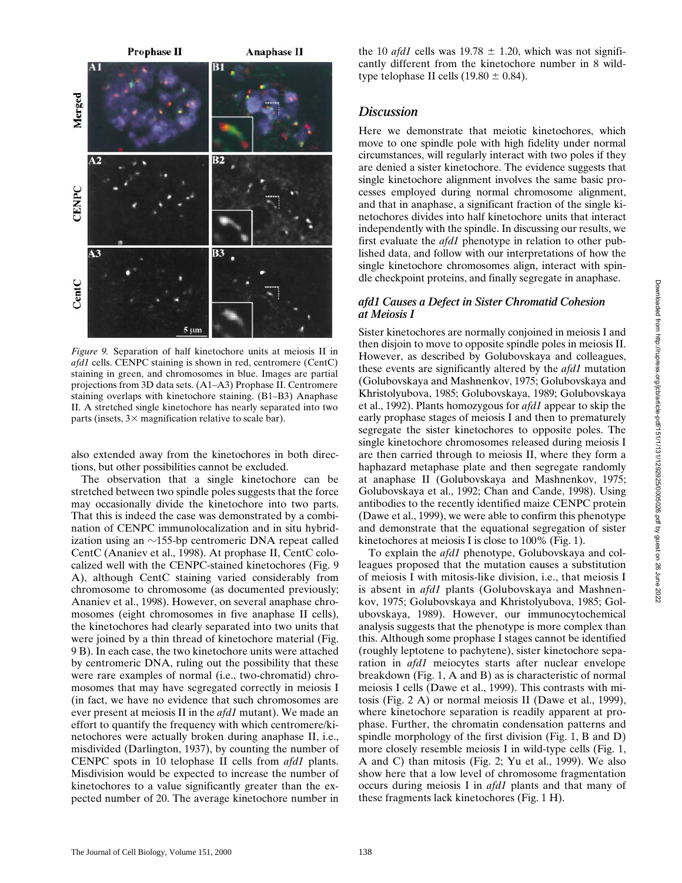

*Figure 9.* Separation of half kinetochore units at meiosis II in *afd1* cells. CENPC staining is shown in red, centromere (CentC) staining in green, and chromosomes in blue. Images are partial projections from 3D data sets. (A1–A3) Prophase II. Centromere staining overlaps with kinetochore staining. (B1–B3) Anaphase II. A stretched single kinetochore has nearly separated into two parts (insets,  $3 \times$  magnification relative to scale bar).

also extended away from the kinetochores in both directions, but other possibilities cannot be excluded.

The observation that a single kinetochore can be stretched between two spindle poles suggests that the force may occasionally divide the kinetochore into two parts. That this is indeed the case was demonstrated by a combination of CENPC immunolocalization and in situ hybridization using an  $\sim$ 155-bp centromeric DNA repeat called CentC (Ananiev et al., 1998). At prophase II, CentC colocalized well with the CENPC-stained kinetochores (Fig. 9 A), although CentC staining varied considerably from chromosome to chromosome (as documented previously; Ananiev et al., 1998). However, on several anaphase chromosomes (eight chromosomes in five anaphase II cells), the kinetochores had clearly separated into two units that were joined by a thin thread of kinetochore material (Fig. 9 B). In each case, the two kinetochore units were attached by centromeric DNA, ruling out the possibility that these were rare examples of normal (i.e., two-chromatid) chromosomes that may have segregated correctly in meiosis I (in fact, we have no evidence that such chromosomes are ever present at meiosis II in the *afd1* mutant). We made an effort to quantify the frequency with which centromere/kinetochores were actually broken during anaphase II, i.e., misdivided (Darlington, 1937), by counting the number of CENPC spots in 10 telophase II cells from *afd1* plants. Misdivision would be expected to increase the number of kinetochores to a value significantly greater than the expected number of 20. The average kinetochore number in the 10 *afd1* cells was  $19.78 \pm 1.20$ , which was not significantly different from the kinetochore number in 8 wildtype telophase II cells  $(19.80 \pm 0.84)$ .

## *Discussion*

Here we demonstrate that meiotic kinetochores, which move to one spindle pole with high fidelity under normal circumstances, will regularly interact with two poles if they are denied a sister kinetochore. The evidence suggests that single kinetochore alignment involves the same basic processes employed during normal chromosome alignment, and that in anaphase, a significant fraction of the single kinetochores divides into half kinetochore units that interact independently with the spindle. In discussing our results, we first evaluate the *afd1* phenotype in relation to other published data, and follow with our interpretations of how the single kinetochore chromosomes align, interact with spindle checkpoint proteins, and finally segregate in anaphase.

## *afd1 Causes a Defect in Sister Chromatid Cohesion at Meiosis I*

Sister kinetochores are normally conjoined in meiosis I and then disjoin to move to opposite spindle poles in meiosis II. However, as described by Golubovskaya and colleagues, these events are significantly altered by the *afd1* mutation (Golubovskaya and Mashnenkov, 1975; Golubovskaya and Khristolyubova, 1985; Golubovskaya, 1989; Golubovskaya et al., 1992). Plants homozygous for *afd1* appear to skip the early prophase stages of meiosis I and then to prematurely segregate the sister kinetochores to opposite poles. The single kinetochore chromosomes released during meiosis I are then carried through to meiosis II, where they form a haphazard metaphase plate and then segregate randomly at anaphase II (Golubovskaya and Mashnenkov, 1975; Golubovskaya et al., 1992; Chan and Cande, 1998). Using antibodies to the recently identified maize CENPC protein (Dawe et al., 1999), we were able to confirm this phenotype and demonstrate that the equational segregation of sister kinetochores at meiosis I is close to 100% (Fig. 1).

To explain the *afd1* phenotype, Golubovskaya and colleagues proposed that the mutation causes a substitution of meiosis I with mitosis-like division, i.e., that meiosis I is absent in *afd1* plants (Golubovskaya and Mashnenkov, 1975; Golubovskaya and Khristolyubova, 1985; Golubovskaya, 1989). However, our immunocytochemical analysis suggests that the phenotype is more complex than this. Although some prophase I stages cannot be identified (roughly leptotene to pachytene), sister kinetochore separation in *afd1* meiocytes starts after nuclear envelope breakdown (Fig. 1, A and B) as is characteristic of normal meiosis I cells (Dawe et al., 1999). This contrasts with mitosis (Fig. 2 A) or normal meiosis II (Dawe et al., 1999), where kinetochore separation is readily apparent at prophase. Further, the chromatin condensation patterns and spindle morphology of the first division (Fig. 1, B and D) more closely resemble meiosis I in wild-type cells (Fig. 1, A and C) than mitosis (Fig. 2; Yu et al., 1999). We also show here that a low level of chromosome fragmentation occurs during meiosis I in *afd1* plants and that many of these fragments lack kinetochores (Fig. 1 H).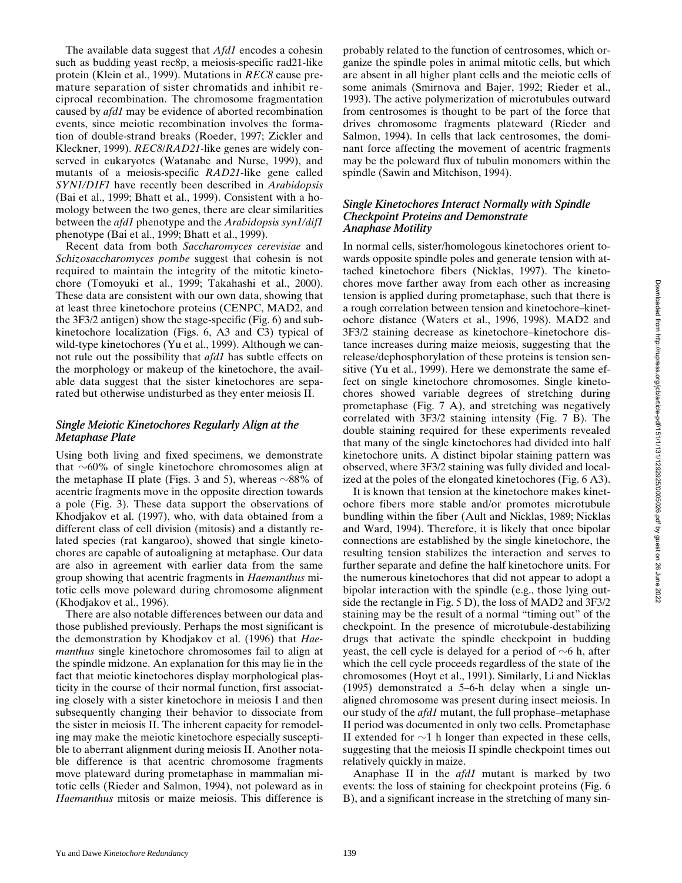The available data suggest that *Afd1* encodes a cohesin such as budding yeast rec8p, a meiosis-specific rad21-like protein (Klein et al., 1999). Mutations in *REC8* cause premature separation of sister chromatids and inhibit reciprocal recombination. The chromosome fragmentation caused by *afd1* may be evidence of aborted recombination events, since meiotic recombination involves the formation of double-strand breaks (Roeder, 1997; Zickler and Kleckner, 1999). *REC8*/*RAD21*-like genes are widely conserved in eukaryotes (Watanabe and Nurse, 1999), and mutants of a meiosis-specific *RAD21*-like gene called *SYN1/DIF1* have recently been described in *Arabidopsis* (Bai et al., 1999; Bhatt et al., 1999). Consistent with a homology between the two genes, there are clear similarities between the *afd1* phenotype and the *Arabidopsis syn1/dif1* phenotype (Bai et al., 1999; Bhatt et al., 1999).

Recent data from both *Saccharomyces cerevisiae* and *Schizosaccharomyces pombe* suggest that cohesin is not required to maintain the integrity of the mitotic kinetochore (Tomoyuki et al., 1999; Takahashi et al., 2000). These data are consistent with our own data, showing that at least three kinetochore proteins (CENPC, MAD2, and the 3F3/2 antigen) show the stage-specific (Fig. 6) and subkinetochore localization (Figs. 6, A3 and C3) typical of wild-type kinetochores (Yu et al., 1999). Although we cannot rule out the possibility that *afd1* has subtle effects on the morphology or makeup of the kinetochore, the available data suggest that the sister kinetochores are separated but otherwise undisturbed as they enter meiosis II.

#### *Single Meiotic Kinetochores Regularly Align at the Metaphase Plate*

Using both living and fixed specimens, we demonstrate that  $\sim 60\%$  of single kinetochore chromosomes align at the metaphase II plate (Figs. 3 and 5), whereas  $\sim 88\%$  of acentric fragments move in the opposite direction towards a pole (Fig. 3). These data support the observations of Khodjakov et al. (1997), who, with data obtained from a different class of cell division (mitosis) and a distantly related species (rat kangaroo), showed that single kinetochores are capable of autoaligning at metaphase. Our data are also in agreement with earlier data from the same group showing that acentric fragments in *Haemanthus* mitotic cells move poleward during chromosome alignment (Khodjakov et al., 1996).

There are also notable differences between our data and those published previously. Perhaps the most significant is the demonstration by Khodjakov et al. (1996) that *Haemanthus* single kinetochore chromosomes fail to align at the spindle midzone. An explanation for this may lie in the fact that meiotic kinetochores display morphological plasticity in the course of their normal function, first associating closely with a sister kinetochore in meiosis I and then subsequently changing their behavior to dissociate from the sister in meiosis II. The inherent capacity for remodeling may make the meiotic kinetochore especially susceptible to aberrant alignment during meiosis II. Another notable difference is that acentric chromosome fragments move plateward during prometaphase in mammalian mitotic cells (Rieder and Salmon, 1994), not poleward as in *Haemanthus* mitosis or maize meiosis. This difference is

probably related to the function of centrosomes, which organize the spindle poles in animal mitotic cells, but which are absent in all higher plant cells and the meiotic cells of some animals (Smirnova and Bajer, 1992; Rieder et al., 1993). The active polymerization of microtubules outward from centrosomes is thought to be part of the force that drives chromosome fragments plateward (Rieder and Salmon, 1994). In cells that lack centrosomes, the dominant force affecting the movement of acentric fragments may be the poleward flux of tubulin monomers within the spindle (Sawin and Mitchison, 1994).

### *Single Kinetochores Interact Normally with Spindle Checkpoint Proteins and Demonstrate Anaphase Motility*

In normal cells, sister/homologous kinetochores orient towards opposite spindle poles and generate tension with attached kinetochore fibers (Nicklas, 1997). The kinetochores move farther away from each other as increasing tension is applied during prometaphase, such that there is a rough correlation between tension and kinetochore–kinetochore distance (Waters et al., 1996, 1998). MAD2 and 3F3/2 staining decrease as kinetochore–kinetochore distance increases during maize meiosis, suggesting that the release/dephosphorylation of these proteins is tension sensitive (Yu et al., 1999). Here we demonstrate the same effect on single kinetochore chromosomes. Single kinetochores showed variable degrees of stretching during prometaphase (Fig. 7 A), and stretching was negatively correlated with 3F3/2 staining intensity (Fig. 7 B). The double staining required for these experiments revealed that many of the single kinetochores had divided into half kinetochore units. A distinct bipolar staining pattern was observed, where 3F3/2 staining was fully divided and localized at the poles of the elongated kinetochores (Fig. 6 A3).

It is known that tension at the kinetochore makes kinetochore fibers more stable and/or promotes microtubule bundling within the fiber (Ault and Nicklas, 1989; Nicklas and Ward, 1994). Therefore, it is likely that once bipolar connections are established by the single kinetochore, the resulting tension stabilizes the interaction and serves to further separate and define the half kinetochore units. For the numerous kinetochores that did not appear to adopt a bipolar interaction with the spindle (e.g., those lying outside the rectangle in Fig. 5 D), the loss of MAD2 and 3F3/2 staining may be the result of a normal "timing out" of the checkpoint. In the presence of microtubule-destabilizing drugs that activate the spindle checkpoint in budding yeast, the cell cycle is delayed for a period of  $\sim$ 6 h, after which the cell cycle proceeds regardless of the state of the chromosomes (Hoyt et al., 1991). Similarly, Li and Nicklas (1995) demonstrated a 5–6-h delay when a single unaligned chromosome was present during insect meiosis. In our study of the *afd1* mutant, the full prophase–metaphase II period was documented in only two cells. Prometaphase II extended for  $\sim$ 1 h longer than expected in these cells, suggesting that the meiosis II spindle checkpoint times out relatively quickly in maize.

Anaphase II in the *afd1* mutant is marked by two events: the loss of staining for checkpoint proteins (Fig. 6 B), and a significant increase in the stretching of many sin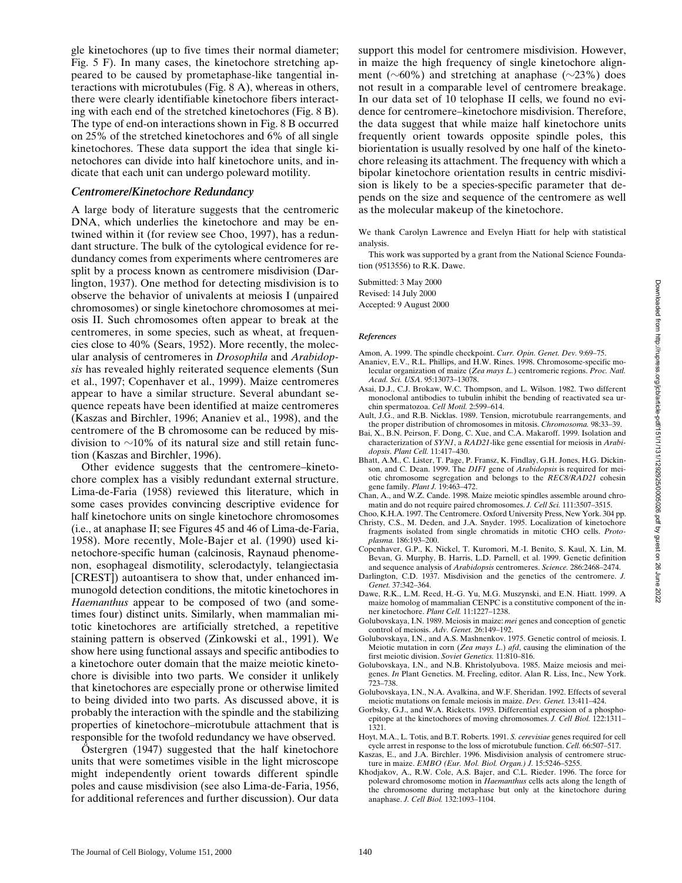gle kinetochores (up to five times their normal diameter; Fig. 5 F). In many cases, the kinetochore stretching appeared to be caused by prometaphase-like tangential interactions with microtubules (Fig. 8 A), whereas in others, there were clearly identifiable kinetochore fibers interacting with each end of the stretched kinetochores (Fig. 8 B). The type of end-on interactions shown in Fig. 8 B occurred on 25% of the stretched kinetochores and 6% of all single kinetochores. These data support the idea that single kinetochores can divide into half kinetochore units, and indicate that each unit can undergo poleward motility.

#### *Centromere/Kinetochore Redundancy*

A large body of literature suggests that the centromeric DNA, which underlies the kinetochore and may be entwined within it (for review see Choo, 1997), has a redundant structure. The bulk of the cytological evidence for redundancy comes from experiments where centromeres are split by a process known as centromere misdivision (Darlington, 1937). One method for detecting misdivision is to observe the behavior of univalents at meiosis I (unpaired chromosomes) or single kinetochore chromosomes at meiosis II. Such chromosomes often appear to break at the centromeres, in some species, such as wheat, at frequencies close to 40% (Sears, 1952). More recently, the molecular analysis of centromeres in *Drosophila* and *Arabidopsis* has revealed highly reiterated sequence elements (Sun et al., 1997; Copenhaver et al., 1999). Maize centromeres appear to have a similar structure. Several abundant sequence repeats have been identified at maize centromeres (Kaszas and Birchler, 1996; Ananiev et al., 1998), and the centromere of the B chromosome can be reduced by misdivision to  $\sim$ 10% of its natural size and still retain function (Kaszas and Birchler, 1996).

Other evidence suggests that the centromere–kinetochore complex has a visibly redundant external structure. Lima-de-Faria (1958) reviewed this literature, which in some cases provides convincing descriptive evidence for half kinetochore units on single kinetochore chromosomes (i.e., at anaphase II; see Figures 45 and 46 of Lima-de-Faria, 1958). More recently, Mole-Bajer et al. (1990) used kinetochore-specific human (calcinosis, Raynaud phenomenon, esophageal dismotility, sclerodactyly, telangiectasia [CREST]) autoantisera to show that, under enhanced immunogold detection conditions, the mitotic kinetochores in *Haemanthus* appear to be composed of two (and sometimes four) distinct units. Similarly, when mammalian mitotic kinetochores are artificially stretched, a repetitive staining pattern is observed (Zinkowski et al., 1991). We show here using functional assays and specific antibodies to a kinetochore outer domain that the maize meiotic kinetochore is divisible into two parts. We consider it unlikely that kinetochores are especially prone or otherwise limited to being divided into two parts. As discussed above, it is probably the interaction with the spindle and the stabilizing properties of kinetochore–microtubule attachment that is responsible for the twofold redundancy we have observed.

Östergren (1947) suggested that the half kinetochore units that were sometimes visible in the light microscope might independently orient towards different spindle poles and cause misdivision (see also Lima-de-Faria, 1956, for additional references and further discussion). Our data support this model for centromere misdivision. However, in maize the high frequency of single kinetochore alignment ( $\sim 60\%$ ) and stretching at anaphase ( $\sim 23\%$ ) does not result in a comparable level of centromere breakage. In our data set of 10 telophase II cells, we found no evidence for centromere–kinetochore misdivision. Therefore, the data suggest that while maize half kinetochore units frequently orient towards opposite spindle poles, this biorientation is usually resolved by one half of the kinetochore releasing its attachment. The frequency with which a bipolar kinetochore orientation results in centric misdivision is likely to be a species-specific parameter that depends on the size and sequence of the centromere as well as the molecular makeup of the kinetochore.

We thank Carolyn Lawrence and Evelyn Hiatt for help with statistical analysis.

This work was supported by a grant from the National Science Foundation (9513556) to R.K. Dawe.

Submitted: 3 May 2000 Revised: 14 July 2000 Accepted: 9 August 2000

#### *References*

- Amon, A. 1999. The spindle checkpoint. *Curr. Opin. Genet. Dev.* 9:69–75.
- Ananiev, E.V., R.L. Phillips, and H.W. Rines. 1998. Chromosome-specific molecular organization of maize (*Zea mays L.*) centromeric regions. *Proc. Natl. Acad. Sci. USA*. 95:13073–13078.
- Asai, D.J., C.J. Brokaw, W.C. Thompson, and L. Wilson. 1982. Two different monoclonal antibodies to tubulin inhibit the bending of reactivated sea urchin spermatozoa. *Cell Motil.* 2:599–614.
- Ault,  $J.\dot{G}$ ., and R.B. Nicklas. 1989. Tension, microtubule rearrangements, and the proper distribution of chromosomes in mitosis. *Chromosoma.* 98:33–39.
- Bai, X., B.N. Peirson, F. Dong, C. Xue, and C.A. Makaroff. 1999. Isolation and characterization of *SYN1*, a *RAD21*-like gene essential for meiosis in *Arabidopsis*. *Plant Cell.* 11:417–430.
- Bhatt, A.M., C. Lister, T. Page, P. Fransz, K. Findlay, G.H. Jones, H.G. Dickinson, and C. Dean. 1999. The *DIF1* gene of *Arabidopsis* is required for meiotic chromosome segregation and belongs to the *REC8/RAD21* cohesin gene family. *Plant J.* 19:463–472.
- Chan, A., and W.Z. Cande. 1998. Maize meiotic spindles assemble around chromatin and do not require paired chromosomes. *J. Cell Sci.* 111:3507–3515.
- Choo, K.H.A. 1997. The Centromere. Oxford University Press, New York. 304 pp.
- Christy, C.S., M. Deden, and J.A. Snyder. 1995. Localization of kinetochore fragments isolated from single chromatids in mitotic CHO cells. *Protoplasma.* 186:193–200.
- Copenhaver, G.P., K. Nickel, T. Kuromori, M.-I. Benito, S. Kaul, X. Lin, M. Bevan, G. Murphy, B. Harris, L.D. Parnell, et al. 1999. Genetic definition and sequence analysis of *Arabidopsis* centromeres. *Science.* 286:2468–2474.
- Darlington, C.D. 1937. Misdivision and the genetics of the centromere. *J. Genet.* 37:342–364.
- Dawe, R.K., L.M. Reed, H.-G. Yu, M.G. Muszynski, and E.N. Hiatt. 1999. A maize homolog of mammalian CENPC is a constitutive component of the inner kinetochore. *Plant Cell.* 11:1227–1238.
- Golubovskaya, I.N. 1989. Meiosis in maize: *mei* genes and conception of genetic control of meiosis. *Adv. Genet.* 26:149–192.
- Golubovskaya, I.N., and A.S. Mashnenkov. 1975. Genetic control of meiosis. I. Meiotic mutation in corn (*Zea mays L*.) *afd*, causing the elimination of the first meiotic division. *Soviet Genetics.* 11:810–816.
- Golubovskaya, I.N., and N.B. Khristolyubova. 1985. Maize meiosis and meigenes. *In* Plant Genetics. M. Freeling, editor. Alan R. Liss, Inc., New York. 723–738.
- Golubovskaya, I.N., N.A. Avalkina, and W.F. Sheridan. 1992. Effects of several meiotic mutations on female meiosis in maize. *Dev. Genet.* 13:411–424.
- Gorbsky, G.J., and W.A. Ricketts. 1993. Differential expression of a phosphoepitope at the kinetochores of moving chromosomes. *J. Cell Biol.* 122:1311– 1321.
- Hoyt, M.A., L. Totis, and B.T. Roberts. 1991. *S. cerevisiae* genes required for cell cycle arrest in response to the loss of microtubule function. *Cell.* 66:507–517.
- Kaszas, E., and J.A. Birchler. 1996. Misdivision analysis of centromere structure in maize. *EMBO (Eur. Mol. Biol. Organ.) J.* 15:5246–5255.
- Khodjakov, A., R.W. Cole, A.S. Bajer, and C.L. Rieder. 1996. The force for poleward chromosome motion in *Haemanthus* cells acts along the length of the chromosome during metaphase but only at the kinetochore during anaphase. *J. Cell Biol.* 132:1093–1104.